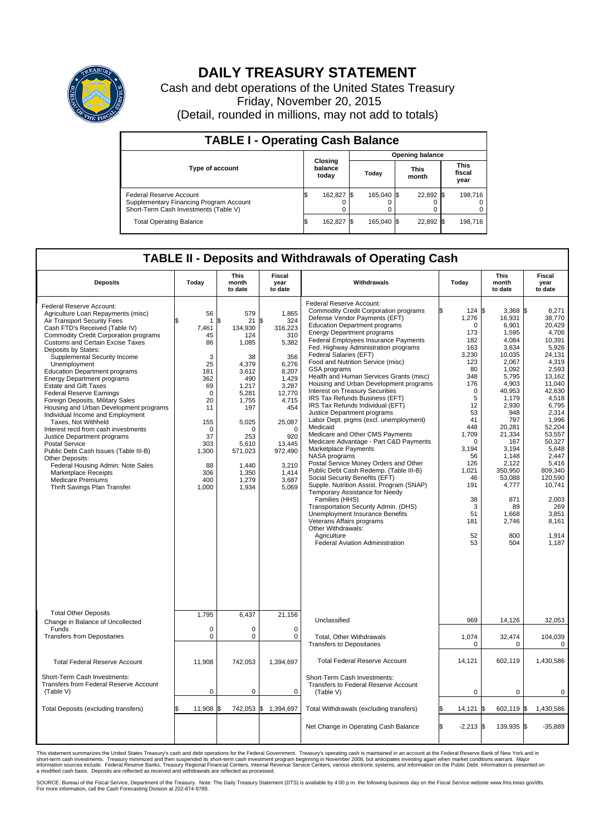

## **DAILY TREASURY STATEMENT**

Cash and debt operations of the United States Treasury Friday, November 20, 2015 (Detail, rounded in millions, may not add to totals)

| <b>TABLE I - Operating Cash Balance</b>                                                                     |    |                             |  |                        |  |                      |  |                               |  |  |
|-------------------------------------------------------------------------------------------------------------|----|-----------------------------|--|------------------------|--|----------------------|--|-------------------------------|--|--|
|                                                                                                             |    |                             |  | <b>Opening balance</b> |  |                      |  |                               |  |  |
| Type of account                                                                                             |    | Closing<br>balance<br>today |  | Today                  |  | <b>This</b><br>month |  | <b>This</b><br>fiscal<br>year |  |  |
| Federal Reserve Account<br>Supplementary Financing Program Account<br>Short-Term Cash Investments (Table V) |    | 162,827 \$                  |  | 165.040 \$             |  | 22,892 \$            |  | 198.716                       |  |  |
| <b>Total Operating Balance</b>                                                                              | ß. | 162,827 \$                  |  | 165,040 \$             |  | 22,892 \$            |  | 198,716                       |  |  |

## **TABLE II - Deposits and Withdrawals of Operating Cash**

| <b>Deposits</b>                                                                                                                                                                                                                                                                                                                                                                                                                                                                                                                                                                                                                                                                                                                                                                                                                                                         | Today                                                                                                                                                            | <b>This</b><br>month<br>to date                                                                                                                                                          | <b>Fiscal</b><br>year<br>to date                                                                                                                                                                            | Withdrawals                                                                                                                                                                                                                                                                                                                                                                                                                                                                                                                                                                                                                                                                                                                                                                                                                                                                                                                                                                                                                                                                                                                                                                | Today                                                                                                                                                                                                                                   | <b>This</b><br>month<br>to date                                                                                                                                                                                                                                                   | Fiscal<br>year<br>to date                                                                                                                                                                                                                                                                        |
|-------------------------------------------------------------------------------------------------------------------------------------------------------------------------------------------------------------------------------------------------------------------------------------------------------------------------------------------------------------------------------------------------------------------------------------------------------------------------------------------------------------------------------------------------------------------------------------------------------------------------------------------------------------------------------------------------------------------------------------------------------------------------------------------------------------------------------------------------------------------------|------------------------------------------------------------------------------------------------------------------------------------------------------------------|------------------------------------------------------------------------------------------------------------------------------------------------------------------------------------------|-------------------------------------------------------------------------------------------------------------------------------------------------------------------------------------------------------------|----------------------------------------------------------------------------------------------------------------------------------------------------------------------------------------------------------------------------------------------------------------------------------------------------------------------------------------------------------------------------------------------------------------------------------------------------------------------------------------------------------------------------------------------------------------------------------------------------------------------------------------------------------------------------------------------------------------------------------------------------------------------------------------------------------------------------------------------------------------------------------------------------------------------------------------------------------------------------------------------------------------------------------------------------------------------------------------------------------------------------------------------------------------------------|-----------------------------------------------------------------------------------------------------------------------------------------------------------------------------------------------------------------------------------------|-----------------------------------------------------------------------------------------------------------------------------------------------------------------------------------------------------------------------------------------------------------------------------------|--------------------------------------------------------------------------------------------------------------------------------------------------------------------------------------------------------------------------------------------------------------------------------------------------|
| Federal Reserve Account:<br>Agriculture Loan Repayments (misc)<br>Air Transport Security Fees<br>Cash FTD's Received (Table IV)<br><b>Commodity Credit Corporation programs</b><br><b>Customs and Certain Excise Taxes</b><br>Deposits by States:<br>Supplemental Security Income<br>Unemployment<br><b>Education Department programs</b><br><b>Energy Department programs</b><br><b>Estate and Gift Taxes</b><br><b>Federal Reserve Earnings</b><br>Foreign Deposits, Military Sales<br>Housing and Urban Development programs<br>Individual Income and Employment<br>Taxes. Not Withheld<br>Interest recd from cash investments<br>Justice Department programs<br>Postal Service<br>Public Debt Cash Issues (Table III-B)<br>Other Deposits:<br>Federal Housing Admin: Note Sales<br>Marketplace Receipts<br><b>Medicare Premiums</b><br>Thrift Savings Plan Transfer | 56<br>$\mathbf{1}$<br>7,461<br>45<br>86<br>3<br>25<br>181<br>362<br>69<br>$\mathbf 0$<br>20<br>11<br>155<br>0<br>37<br>303<br>1,300<br>88<br>306<br>400<br>1,000 | 579<br>\$<br>21<br>134.930<br>124<br>1,085<br>38<br>4,379<br>3,612<br>490<br>1,217<br>5,281<br>1,755<br>197<br>5,025<br>O<br>253<br>5,610<br>571,023<br>1,440<br>1,350<br>1,279<br>1,934 | 1,865<br>\$<br>324<br>316,223<br>310<br>5,382<br>356<br>6,276<br>8.207<br>1.429<br>3,287<br>12,770<br>4,715<br>454<br>25,087<br>$\mathbf 0$<br>920<br>13,445<br>972,490<br>3,210<br>1,414<br>3,687<br>5,069 | Federal Reserve Account:<br><b>Commodity Credit Corporation programs</b><br>Defense Vendor Payments (EFT)<br><b>Education Department programs</b><br><b>Energy Department programs</b><br>Federal Employees Insurance Payments<br>Fed. Highway Administration programs<br>Federal Salaries (EFT)<br>Food and Nutrition Service (misc)<br>GSA programs<br>Health and Human Services Grants (misc)<br>Housing and Urban Development programs<br>Interest on Treasury Securities<br>IRS Tax Refunds Business (EFT)<br>IRS Tax Refunds Individual (EFT)<br>Justice Department programs<br>Labor Dept. prgms (excl. unemployment)<br>Medicaid<br>Medicare and Other CMS Payments<br>Medicare Advantage - Part C&D Payments<br>Marketplace Payments<br>NASA programs<br>Postal Service Money Orders and Other<br>Public Debt Cash Redemp. (Table III-B)<br>Social Security Benefits (EFT)<br>Supple. Nutrition Assist. Program (SNAP)<br>Temporary Assistance for Needy<br>Families (HHS)<br>Transportation Security Admin. (DHS)<br>Unemployment Insurance Benefits<br>Veterans Affairs programs<br>Other Withdrawals:<br>Agriculture<br><b>Federal Aviation Administration</b> | 124S<br>1,276<br>$\Omega$<br>173<br>182<br>163<br>3,230<br>123<br>80<br>348<br>176<br>$\mathbf 0$<br>5<br>12<br>53<br>41<br>448<br>1,709<br>$\mathbf 0$<br>3,194<br>56<br>126<br>1,021<br>46<br>191<br>38<br>3<br>51<br>181<br>52<br>53 | $3.368$ \$<br>16,931<br>6,901<br>1,595<br>4,084<br>3,634<br>10,035<br>2,067<br>1,092<br>5,795<br>4,903<br>40,953<br>1,179<br>2,930<br>948<br>797<br>20,281<br>21,334<br>167<br>3,194<br>1.148<br>2,122<br>350,950<br>53,088<br>4,777<br>871<br>89<br>1,668<br>2,746<br>800<br>504 | 8,271<br>38,770<br>20,429<br>4,706<br>10,391<br>5,926<br>24.131<br>4.319<br>2,593<br>13.162<br>11.040<br>42,630<br>4,518<br>6,795<br>2,314<br>1,996<br>52.204<br>53,557<br>50,327<br>5,648<br>2.447<br>5,416<br>809.340<br>120,590<br>10,741<br>2,003<br>269<br>3,851<br>8,161<br>1,914<br>1,187 |
| <b>Total Other Deposits</b>                                                                                                                                                                                                                                                                                                                                                                                                                                                                                                                                                                                                                                                                                                                                                                                                                                             | 1,795                                                                                                                                                            | 6,437                                                                                                                                                                                    | 21,156                                                                                                                                                                                                      | Unclassified                                                                                                                                                                                                                                                                                                                                                                                                                                                                                                                                                                                                                                                                                                                                                                                                                                                                                                                                                                                                                                                                                                                                                               | 969                                                                                                                                                                                                                                     | 14,126                                                                                                                                                                                                                                                                            | 32,053                                                                                                                                                                                                                                                                                           |
| Change in Balance of Uncollected<br>Funds<br><b>Transfers from Depositaries</b>                                                                                                                                                                                                                                                                                                                                                                                                                                                                                                                                                                                                                                                                                                                                                                                         | $\mathbf 0$<br>$\pmb{0}$                                                                                                                                         | 0<br>0                                                                                                                                                                                   | 0<br>$\mathbf 0$                                                                                                                                                                                            | Total, Other Withdrawals<br><b>Transfers to Depositaries</b>                                                                                                                                                                                                                                                                                                                                                                                                                                                                                                                                                                                                                                                                                                                                                                                                                                                                                                                                                                                                                                                                                                               | 1,074<br>$\mathbf 0$                                                                                                                                                                                                                    | 32,474<br>$\Omega$                                                                                                                                                                                                                                                                | 104,039<br>$\mathbf 0$                                                                                                                                                                                                                                                                           |
| <b>Total Federal Reserve Account</b>                                                                                                                                                                                                                                                                                                                                                                                                                                                                                                                                                                                                                                                                                                                                                                                                                                    | 11,908                                                                                                                                                           | 742,053                                                                                                                                                                                  | 1,394,697                                                                                                                                                                                                   | <b>Total Federal Reserve Account</b>                                                                                                                                                                                                                                                                                                                                                                                                                                                                                                                                                                                                                                                                                                                                                                                                                                                                                                                                                                                                                                                                                                                                       | 14,121                                                                                                                                                                                                                                  | 602,119                                                                                                                                                                                                                                                                           | 1,430,586                                                                                                                                                                                                                                                                                        |
| Short-Term Cash Investments:<br><b>Transfers from Federal Reserve Account</b><br>(Table V)                                                                                                                                                                                                                                                                                                                                                                                                                                                                                                                                                                                                                                                                                                                                                                              | $\pmb{0}$                                                                                                                                                        | 0                                                                                                                                                                                        | 0                                                                                                                                                                                                           | Short-Term Cash Investments:<br>Transfers to Federal Reserve Account<br>(Table V)                                                                                                                                                                                                                                                                                                                                                                                                                                                                                                                                                                                                                                                                                                                                                                                                                                                                                                                                                                                                                                                                                          | $\mathbf 0$                                                                                                                                                                                                                             | 0                                                                                                                                                                                                                                                                                 | 0                                                                                                                                                                                                                                                                                                |
| Total Deposits (excluding transfers)                                                                                                                                                                                                                                                                                                                                                                                                                                                                                                                                                                                                                                                                                                                                                                                                                                    | 11,908                                                                                                                                                           | \$                                                                                                                                                                                       | 742,053 \$ 1,394,697                                                                                                                                                                                        | Total Withdrawals (excluding transfers)                                                                                                                                                                                                                                                                                                                                                                                                                                                                                                                                                                                                                                                                                                                                                                                                                                                                                                                                                                                                                                                                                                                                    | \$<br>14,121                                                                                                                                                                                                                            | 602,119 \$<br>I\$                                                                                                                                                                                                                                                                 | 1,430,586                                                                                                                                                                                                                                                                                        |
|                                                                                                                                                                                                                                                                                                                                                                                                                                                                                                                                                                                                                                                                                                                                                                                                                                                                         |                                                                                                                                                                  |                                                                                                                                                                                          |                                                                                                                                                                                                             | Net Change in Operating Cash Balance                                                                                                                                                                                                                                                                                                                                                                                                                                                                                                                                                                                                                                                                                                                                                                                                                                                                                                                                                                                                                                                                                                                                       | Ŝ.<br>$-2,213$ \$                                                                                                                                                                                                                       | 139,935 \$                                                                                                                                                                                                                                                                        | $-35,889$                                                                                                                                                                                                                                                                                        |

This statement summarizes the United States Treasury's cash and debt operations for the Federal Government. Treasury's operating cash is maintained in an account at the Federal Reserve Bank of New York and in<br>short-term ca

SOURCE: Bureau of the Fiscal Service, Department of the Treasury. Note: The Daily Treasury Statement (DTS) is available by 4:00 p.m. the following business day on the Fiscal Service website www.fms.treas.gov/dts.<br>For more